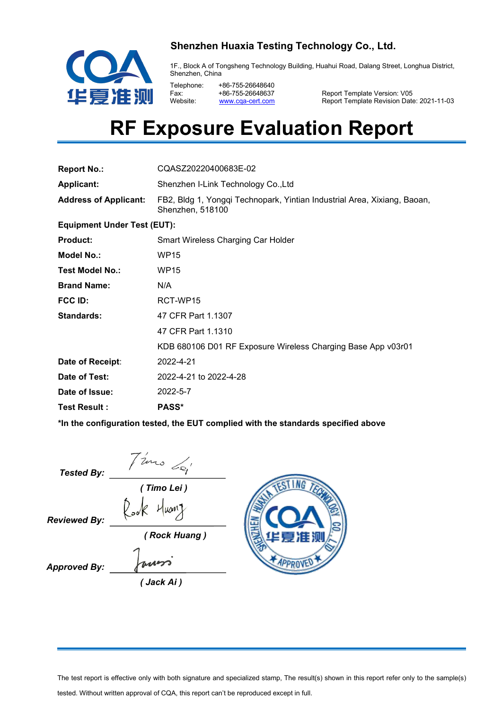

### **Shenzhen Huaxia Testing Technology Co., Ltd.**

1F., Block A of Tongsheng Technology Building, Huahui Road, Dalang Street, Longhua District, Shenzhen, China

Telephone: +86-755-26648640<br>Eax: +86-755-26648637 Fax: +86-755-26648637<br>Website: www.cqa-cert.com

Website: <u>[www.cqa-cert.com](http://www.cqa-cert.com/)</u> Report Template Revision Date: 2021-11-03 Report Template Version: V05

# **RF Exposure Evaluation Report**

| <b>Report No.:</b>                 | CQASZ20220400683E-02                                                                         |  |  |  |  |
|------------------------------------|----------------------------------------------------------------------------------------------|--|--|--|--|
| <b>Applicant:</b>                  | Shenzhen I-Link Technology Co., Ltd                                                          |  |  |  |  |
| <b>Address of Applicant:</b>       | FB2, Bldg 1, Yongqi Technopark, Yintian Industrial Area, Xixiang, Baoan,<br>Shenzhen, 518100 |  |  |  |  |
| <b>Equipment Under Test (EUT):</b> |                                                                                              |  |  |  |  |
| <b>Product:</b>                    | Smart Wireless Charging Car Holder                                                           |  |  |  |  |
| <b>Model No.:</b>                  | <b>WP15</b>                                                                                  |  |  |  |  |
| <b>Test Model No.:</b>             | <b>WP15</b>                                                                                  |  |  |  |  |
| <b>Brand Name:</b>                 | N/A                                                                                          |  |  |  |  |
| <b>FCC ID:</b>                     | RCT-WP15                                                                                     |  |  |  |  |
| <b>Standards:</b>                  | 47 CFR Part 1.1307                                                                           |  |  |  |  |
|                                    | 47 CFR Part 1.1310                                                                           |  |  |  |  |
|                                    | KDB 680106 D01 RF Exposure Wireless Charging Base App v03r01                                 |  |  |  |  |
| Date of Receipt:                   | 2022-4-21                                                                                    |  |  |  |  |
| Date of Test:                      | 2022-4-21 to 2022-4-28                                                                       |  |  |  |  |
| Date of Issue:                     | 2022-5-7                                                                                     |  |  |  |  |
| <b>Test Result:</b>                | <b>PASS*</b>                                                                                 |  |  |  |  |

**\*In the configuration tested, the EUT complied with the standards specified above**

| <b>Tested By:</b>   | uno Lei                 |     |
|---------------------|-------------------------|-----|
|                     | (Timo Lei)              |     |
| <b>Reviewed By:</b> | $H$ uanz<br>$\zeta$ ook |     |
|                     | (Rock Huang)            | EER |
| <b>Approved By:</b> | runs                    |     |
|                     | ( Jack Ai )             |     |

The test report is effective only with both signature and specialized stamp, The result(s) shown in this report refer only to the sample(s) tested. Without written approval of CQA, this report can't be reproduced except in full.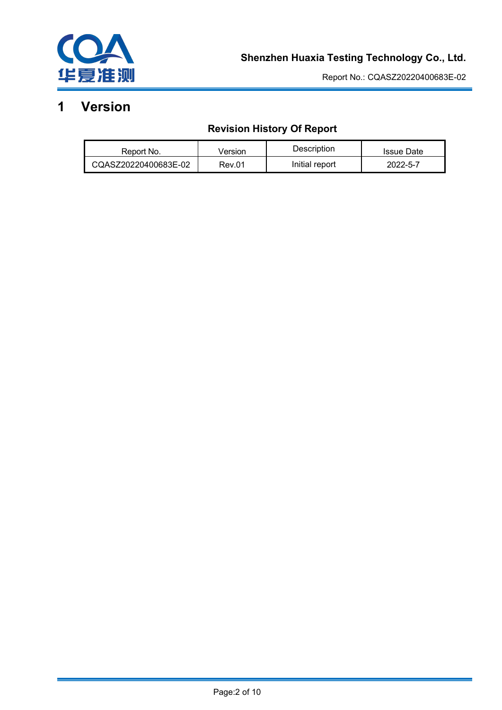

# **1 Version**

# **Revision History Of Report**

| Report No.           | /ersion | Description    | <b>Issue Date</b> |
|----------------------|---------|----------------|-------------------|
| CQASZ20220400683E-02 | Rev.01  | Initial report | 2022-5-7          |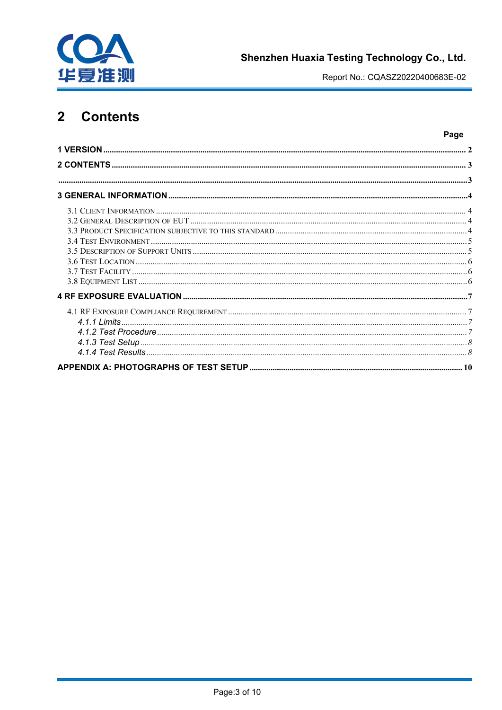

Page

### $\overline{2}$ **Contents**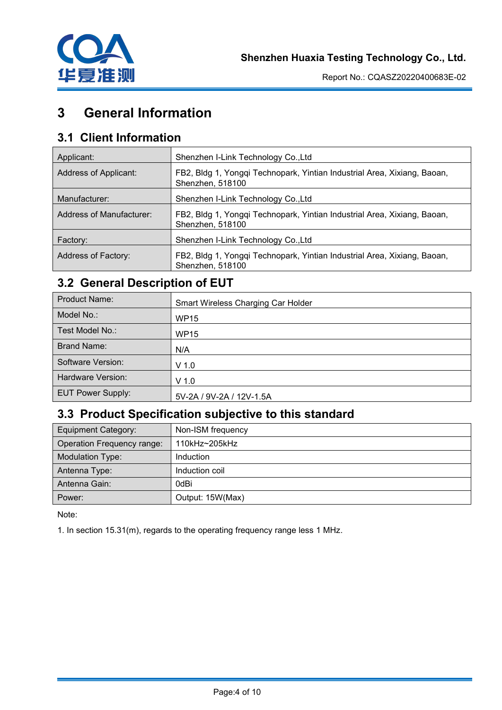

# **3 General Information**

# **3.1 Client Information**

| Applicant:               | Shenzhen I-Link Technology Co., Ltd                                                          |
|--------------------------|----------------------------------------------------------------------------------------------|
| Address of Applicant:    | FB2, Bldg 1, Yongqi Technopark, Yintian Industrial Area, Xixiang, Baoan,<br>Shenzhen, 518100 |
| Manufacturer:            | Shenzhen I-Link Technology Co., Ltd                                                          |
| Address of Manufacturer: | FB2, Bldg 1, Yongqi Technopark, Yintian Industrial Area, Xixiang, Baoan,<br>Shenzhen, 518100 |
| Factory:                 | Shenzhen I-Link Technology Co., Ltd                                                          |
| Address of Factory:      | FB2, Bldg 1, Yongqi Technopark, Yintian Industrial Area, Xixiang, Baoan,<br>Shenzhen, 518100 |

# **3.2 General Description of EUT**

| <b>Product Name:</b>     | Smart Wireless Charging Car Holder |
|--------------------------|------------------------------------|
| Model No.:               | <b>WP15</b>                        |
| Test Model No.:          | <b>WP15</b>                        |
| <b>Brand Name:</b>       | N/A                                |
| Software Version:        | $V$ 1.0                            |
| Hardware Version:        | $V$ 1.0                            |
| <b>EUT Power Supply:</b> | 5V-2A / 9V-2A / 12V-1.5A           |

# **3.3 Product Specification subjective to this standard**

| <b>Equipment Category:</b> | Non-ISM frequency |
|----------------------------|-------------------|
| Operation Frequency range: | 110kHz~205kHz     |
| Modulation Type:           | Induction         |
| Antenna Type:              | Induction coil    |
| Antenna Gain:              | 0dBi              |
| Power:                     | Output: 15W(Max)  |

Note:

1. In section 15.31(m), regards to the operating frequency range less 1 MHz.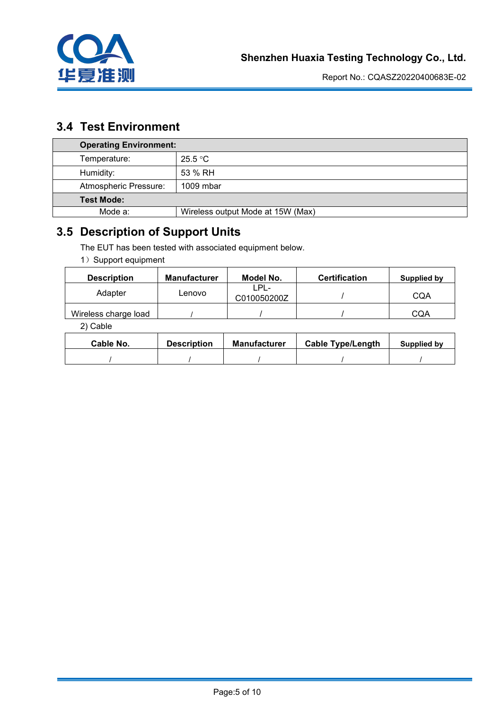

# **3.4 Test Environment**

| <b>Operating Environment:</b> |                                   |  |  |  |
|-------------------------------|-----------------------------------|--|--|--|
| Temperature:                  | 25.5 °C                           |  |  |  |
| Humidity:                     | 53 % RH                           |  |  |  |
| Atmospheric Pressure:         | 1009 mbar                         |  |  |  |
| <b>Test Mode:</b>             |                                   |  |  |  |
| Mode a:                       | Wireless output Mode at 15W (Max) |  |  |  |

# **3.5 Description of Support Units**

The EUT has been tested with associated equipment below.

1) Support equipment

| <b>Description</b>   | <b>Manufacturer</b> | Model No.           | <b>Certification</b> | Supplied by |
|----------------------|---------------------|---------------------|----------------------|-------------|
| Adapter              | _enovo              | LPL-<br>C010050200Z |                      | CQA         |
| Wireless charge load |                     |                     |                      | CQA         |

2) Cable

| Cable No. | <b>Description</b> | <b>Manufacturer</b> | <b>Cable Type/Length</b> | Supplied by |
|-----------|--------------------|---------------------|--------------------------|-------------|
|           |                    |                     |                          |             |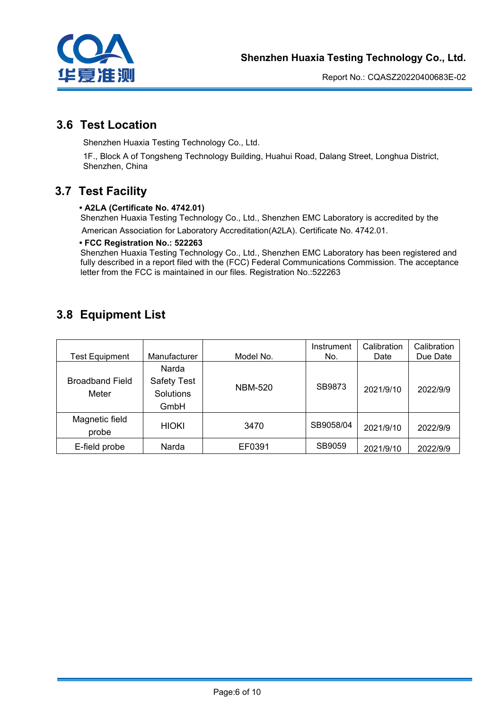

## **3.6 Test Location**

Shenzhen Huaxia Testing Technology Co., Ltd.

1F., Block A of Tongsheng Technology Building, Huahui Road, Dalang Street, Longhua District, Shenzhen, China

# **3.7 Test Facility**

### **• A2LA (Certificate No. 4742.01)**

Shenzhen Huaxia Testing Technology Co., Ltd., Shenzhen EMC Laboratory is accredited by the American Association for Laboratory Accreditation(A2LA). Certificate No. 4742.01.

### **• FCC Registration No.: 522263**

Shenzhen Huaxia Testing Technology Co., Ltd., Shenzhen EMC Laboratory has been registered and fully described in a report filed with the (FCC) Federal Communications Commission. The acceptance letter from the FCC is maintained in our files. Registration No.:522263

# **3.8 Equipment List**

| <b>Test Equipment</b>           | Manufacturer                                     | Model No.      | Instrument<br>No. | Calibration<br>Date | Calibration<br>Due Date |  |
|---------------------------------|--------------------------------------------------|----------------|-------------------|---------------------|-------------------------|--|
| <b>Broadband Field</b><br>Meter | Narda<br><b>Safety Test</b><br>Solutions<br>GmbH | <b>NBM-520</b> | SB9873            | 2021/9/10           | 2022/9/9                |  |
| Magnetic field<br>probe         | HIOKI                                            | 3470           | SB9058/04         | 2021/9/10           | 2022/9/9                |  |
| E-field probe                   | Narda                                            | EF0391         | SB9059            | 2021/9/10           | 2022/9/9                |  |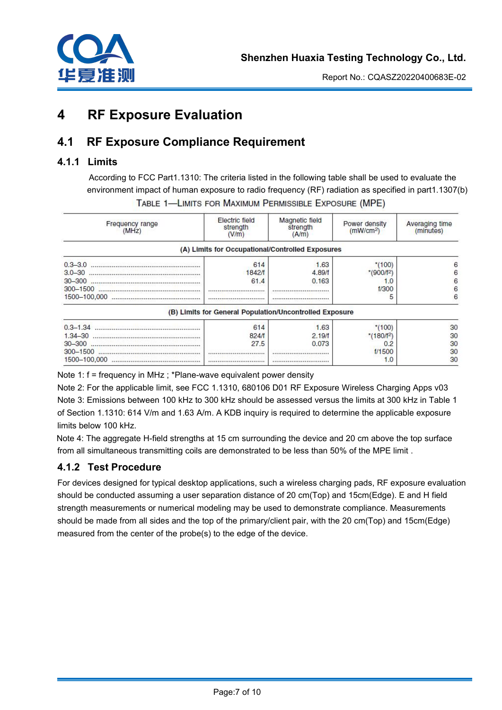

# **4 RF Exposure Evaluation**

# **4.1 RF Exposure Compliance Requirement**

### **4.1.1 Limits**

According to FCC Part1.1310: The criteria listed in the following table shall be used to evaluate the environment impact of human exposure to radio frequency (RF) radiation as specified in part1.1307(b) TABLE 1-LIMITS FOR MAXIMUM PERMISSIBLE EXPOSURE (MPE)

| Frequency range<br>(MHz) | Electric field<br>strength<br>(V/m) | Magnetic field<br>strength<br>(A/m)                     | Power density<br>(mW/cm <sup>2</sup> ) | Averaging time<br>(minutes) |  |
|--------------------------|-------------------------------------|---------------------------------------------------------|----------------------------------------|-----------------------------|--|
|                          |                                     | (A) Limits for Occupational/Controlled Exposures        |                                        |                             |  |
| $0.3 - 3.0$              | 614                                 | 1.63                                                    | $*100$                                 | 6                           |  |
| $3.0 - 30$               | <b>1842/f</b>                       | 4.89/f                                                  | $*(900/f2)$                            | 6                           |  |
| $30 - 300$               | 61.4                                | 0.163                                                   |                                        | 6                           |  |
| $300 - 1500$             |                                     |                                                         | f/300                                  | 6                           |  |
| 1500-100,000             |                                     |                                                         |                                        |                             |  |
|                          |                                     | (B) Limits for General Population/Uncontrolled Exposure |                                        |                             |  |
|                          | 614                                 | 1.63                                                    | $*(100)$                               | 30                          |  |
| $1.34 - 30$              | 824/1                               | 2.19/f                                                  | $*(180/f^2)$                           | 30                          |  |
| $30 - 300$               | 27.5                                | 0.073                                                   | 0:                                     | 30                          |  |
| $300 - 1500$             | ******************************      |                                                         | 1/1500                                 | 30                          |  |
| 1500-100,000             | *****************************       |                                                         | 1.0                                    | 30                          |  |

Note 1: f = frequency in MHz ; \*Plane-wave equivalent power density

Note 2: For the applicable limit, see FCC 1.1310, 680106 D01 RF Exposure Wireless Charging Apps v03 Note 3: Emissions between 100 kHz to 300 kHz should be assessed versus the limits at 300 kHz in Table 1 of Section 1.1310: 614 V/m and 1.63 A/m. A KDB inquiry is required to determine the applicable exposure limits below 100 kHz.

Note 4: The aggregate H-field strengths at 15 cm surrounding the device and 20 cm above the top surface from all simultaneous transmitting coils are demonstrated to be less than 50% of the MPE limit .

### **4.1.2 Test Procedure**

For devices designed for typical desktop applications, such a wireless charging pads, RF exposure evaluation should be conducted assuming a user separation distance of 20 cm(Top) and 15cm(Edge). E and H field strength measurements or numerical modeling may be used to demonstrate compliance. Measurements should be made from all sides and the top of the primary/client pair, with the 20 cm(Top) and 15cm(Edge) measured from the center of the probe(s) to the edge of the device.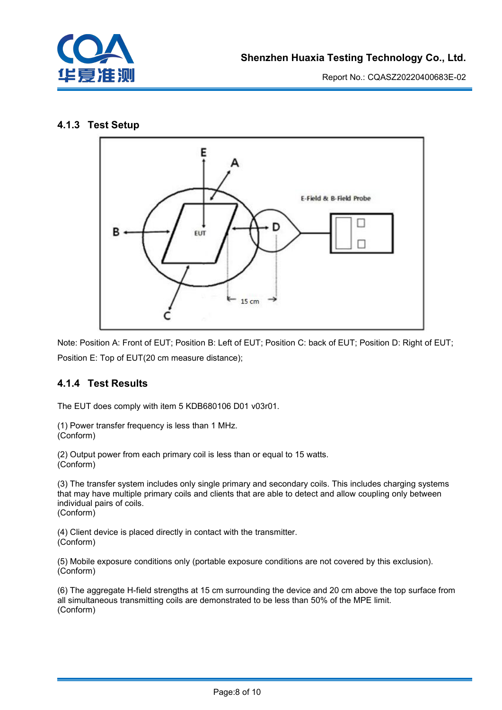

### **4.1.3 Test Setup**



Note: Position A: Front of EUT; Position B: Left of EUT; Position C: back of EUT; Position D: Right of EUT; Position E: Top of EUT(20 cm measure distance);

### **4.1.4 Test Results**

The EUT does comply with item 5 KDB680106 D01 v03r01.

(1) Power transfer frequency is less than 1 MHz. (Conform)

(2) Output power from each primary coil is less than or equal to 15 watts. (Conform)

(3) The transfer system includes only single primary and secondary coils. This includes charging systems that may have multiple primary coils and clients that are able to detect and allow coupling only between individual pairs of coils. (Conform)

(4) Client device is placed directly in contact with the transmitter.<br>(Conform)

(5) Mobile exposure conditions only (portable exposure conditions are not covered by this exclusion). (Conform)

(6) The aggregate H-field strengths at 15 cm surrounding the device and 20 cm above the top surface from all simultaneous transmitting coils are demonstrated to be less than 50% of the MPE limit. (Conform)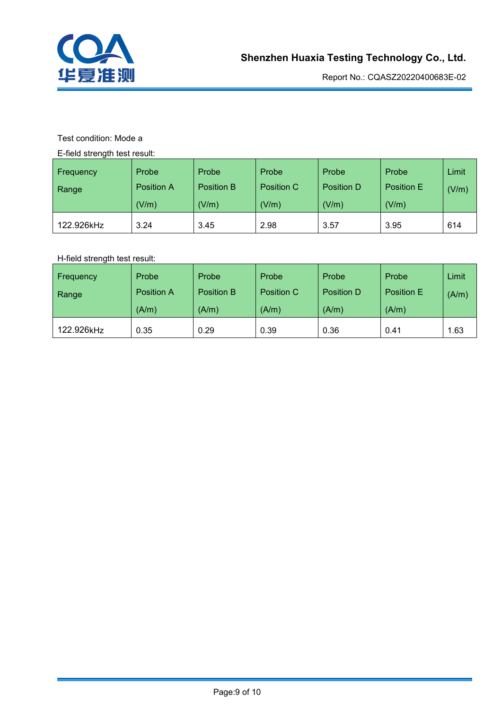

### Test condition: Mode a

E-field strength test result:

| $\sim$<br>Frequency<br>Range | Probe<br><b>Position A</b><br>(V/m) | Probe<br><b>Position B</b><br>(V/m) | Probe<br>Position C<br>(V/m) | Probe<br>Position D<br>(V/m) | Probe<br>Position E<br>(V/m) | Limit<br>(V/m) |  |
|------------------------------|-------------------------------------|-------------------------------------|------------------------------|------------------------------|------------------------------|----------------|--|
| 122.926kHz                   | 3.24                                | 3.45                                | 2.98                         | 3.57                         | 3.95                         | 614            |  |

### H-field strength test result:

| Frequency  | Probe      | Probe      | Probe      | Probe      | Probe             | Limit |
|------------|------------|------------|------------|------------|-------------------|-------|
| Range      | Position A | Position B | Position C | Position D | <b>Position E</b> | (A/m) |
|            | (A/m)      | (A/m)      | (A/m)      | (A/m)      | (A/m)             |       |
| 122.926kHz | 0.35       | 0.29       | 0.39       | 0.36       | 0.41              | . 63  |